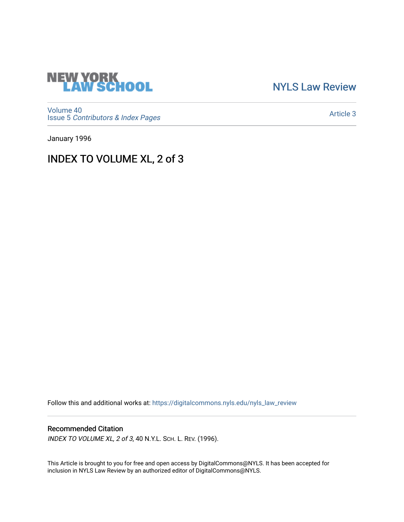

[NYLS Law Review](https://digitalcommons.nyls.edu/nyls_law_review) 

[Volume 40](https://digitalcommons.nyls.edu/nyls_law_review/vol40) Issue 5 [Contributors & Index Pages](https://digitalcommons.nyls.edu/nyls_law_review/vol40/iss5) 

[Article 3](https://digitalcommons.nyls.edu/nyls_law_review/vol40/iss5/3) 

January 1996

INDEX TO VOLUME XL, 2 of 3

Follow this and additional works at: [https://digitalcommons.nyls.edu/nyls\\_law\\_review](https://digitalcommons.nyls.edu/nyls_law_review?utm_source=digitalcommons.nyls.edu%2Fnyls_law_review%2Fvol40%2Fiss5%2F3&utm_medium=PDF&utm_campaign=PDFCoverPages) 

## Recommended Citation

INDEX TO VOLUME XL, 2 of 3, 40 N.Y.L. SCH. L. REV. (1996).

This Article is brought to you for free and open access by DigitalCommons@NYLS. It has been accepted for inclusion in NYLS Law Review by an authorized editor of DigitalCommons@NYLS.